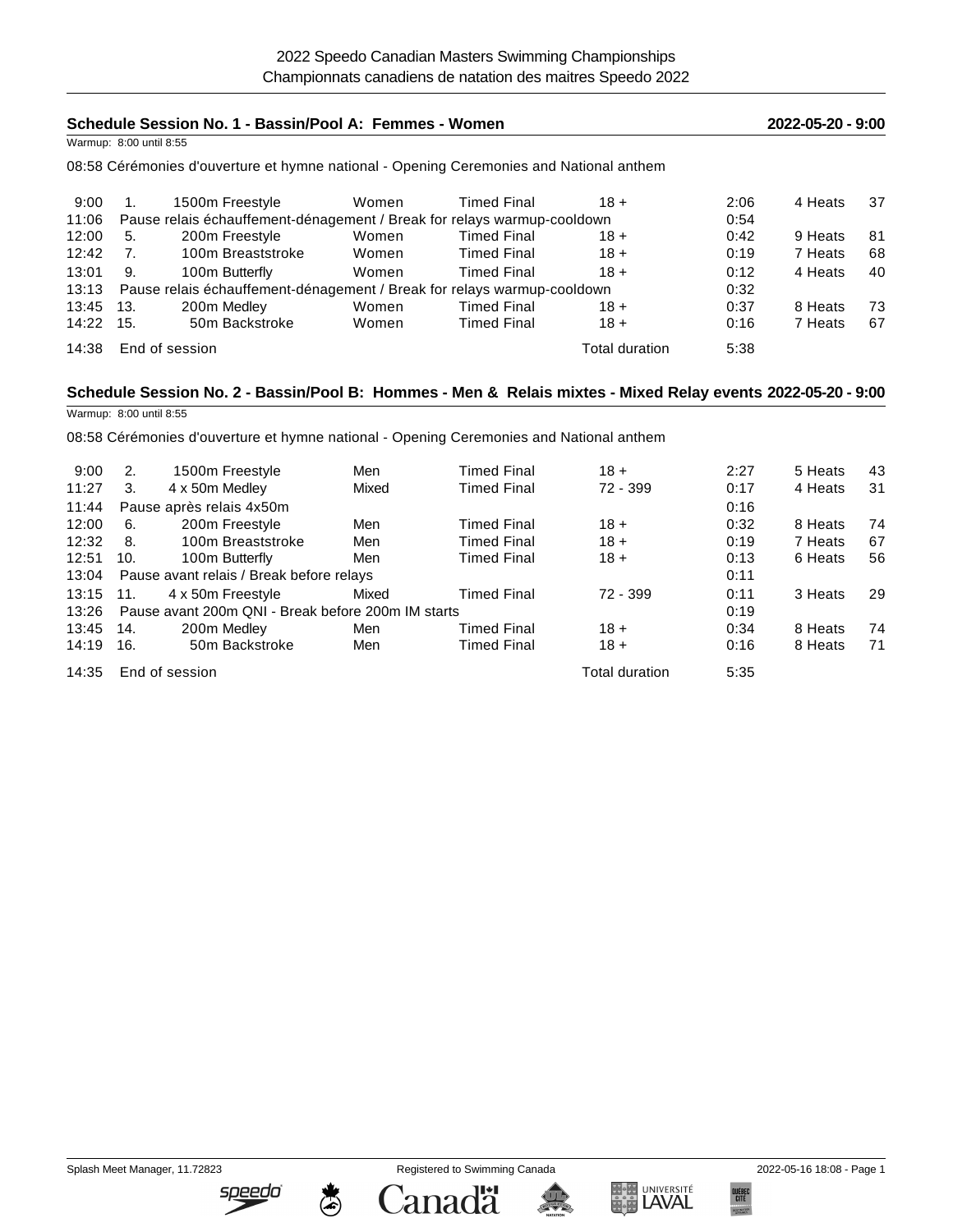| Schedule Session No. 1 - Bassin/Pool A: Femmes - Women                           |                         |                                                                                                             |       |                    |                | 2022-05-20 - 9:00 |         |    |
|----------------------------------------------------------------------------------|-------------------------|-------------------------------------------------------------------------------------------------------------|-------|--------------------|----------------|-------------------|---------|----|
|                                                                                  | Warmup: 8:00 until 8:55 |                                                                                                             |       |                    |                |                   |         |    |
|                                                                                  |                         | 08:58 Cérémonies d'ouverture et hymne national - Opening Ceremonies and National anthem                     |       |                    |                |                   |         |    |
| 9:00                                                                             | 1.                      | 1500m Freestyle                                                                                             | Women | <b>Timed Final</b> | $18 +$         | 2:06              | 4 Heats | 37 |
| 11:06<br>Pause relais échauffement-dénagement / Break for relays warmup-cooldown |                         |                                                                                                             |       |                    | 0:54           |                   |         |    |
| 12:00                                                                            | 5.                      | 200m Freestyle                                                                                              | Women | <b>Timed Final</b> | $18 +$         | 0:42              | 9 Heats | 81 |
| 12:42                                                                            | 7 <sub>1</sub>          | 100m Breaststroke                                                                                           | Women | <b>Timed Final</b> | $18 +$         | 0:19              | 7 Heats | 68 |
| 13:01                                                                            | 9.                      | 100m Butterfly                                                                                              | Women | <b>Timed Final</b> | $18 +$         | 0:12              | 4 Heats | 40 |
| 13:13                                                                            |                         | Pause relais échauffement-dénagement / Break for relays warmup-cooldown                                     |       |                    |                | 0:32              |         |    |
| 13:45                                                                            | 13.                     | 200m Medley                                                                                                 | Women | <b>Timed Final</b> | $18 +$         | 0:37              | 8 Heats | 73 |
| 14:22                                                                            | 15.                     | 50m Backstroke                                                                                              | Women | <b>Timed Final</b> | $18 +$         | 0:16              | 7 Heats | 67 |
| 14:38                                                                            |                         | End of session                                                                                              |       |                    | Total duration | 5:38              |         |    |
|                                                                                  |                         | Schedule Session No. 2 - Bassin/Pool B: Hommes - Men & Relais mixtes - Mixed Relay events 2022-05-20 - 9:00 |       |                    |                |                   |         |    |
|                                                                                  | Warmup: 8:00 until 8:55 |                                                                                                             |       |                    |                |                   |         |    |
|                                                                                  |                         | 08:58 Cérémonies d'ouverture et hymne national - Opening Ceremonies and National anthem                     |       |                    |                |                   |         |    |
| 9:00                                                                             | 2.                      | 1500m Freestyle                                                                                             | Men   | <b>Timed Final</b> | $18 +$         | 2:27              | 5 Heats | 43 |
| 11:27                                                                            | 3.                      | 4 x 50m Medley                                                                                              | Mixed | <b>Timed Final</b> | 72 - 399       | 0:17              | 4 Heats | 31 |
| 11:44                                                                            |                         | Pause après relais 4x50m                                                                                    |       |                    |                | 0:16              |         |    |
| 12:00                                                                            | 6.                      | 200m Freestyle                                                                                              | Men   | <b>Timed Final</b> | $18 +$         | 0:32              | 8 Heats | 74 |
| 12:32                                                                            | 8.                      | 100m Breaststroke                                                                                           | Men   | Timed Final        | $18 +$         | 0:19              | 7 Heats | 67 |

12:51 10. 100m Butterfly Men Timed Final 18 + 0:13 6 Heats 56

13:15 11. 4 x 50m Freestyle Mixed Timed Final 72 - 399 0:11 3 Heats 29

13:45 14. 200m Medley Men Timed Final 18 + 0:34 8 Heats 74 14:19 16. 50m Backstroke Men Timed Final 18 + 0:16 8 Heats 71

13:04 Pause avant relais / Break before relays 0:11 and 0:11 and 0:11 and 0:11

13:26 Pause avant 200m QNI - Break before 200m IM starts 0:19

14:35 End of session **Total duration** 5:35

Splash Meet Manager, 11.72823 Registered to Swimming Canada 2022-05-16 18:08 - Page 1

speedo



Canadä



**QUEBEC**<br>Cité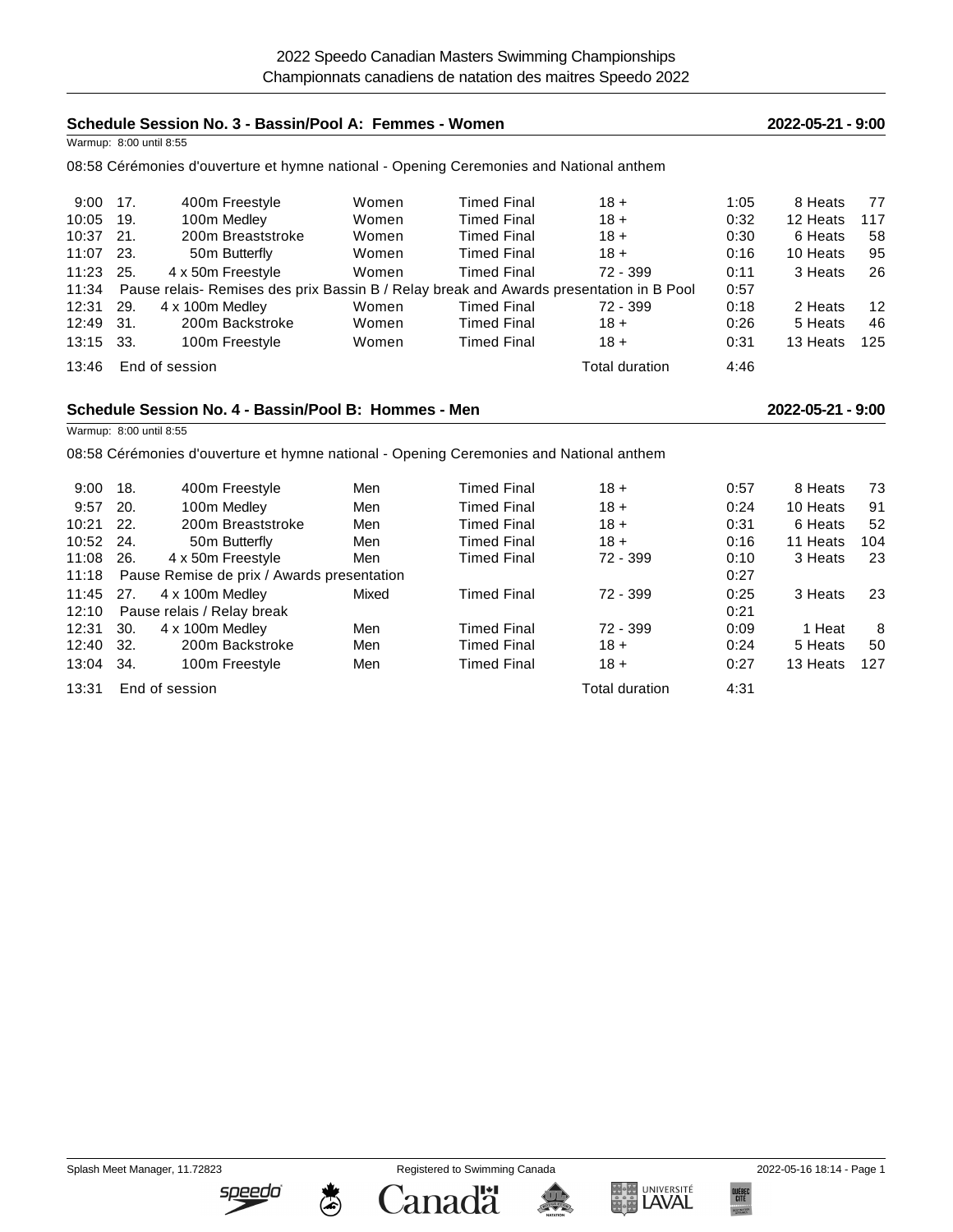| Schedule Session No. 3 - Bassin/Pool A: Femmes - Women |                                            |                                                                                         |       |                    | 2022-05-21 - 9:00 |      |                   |     |
|--------------------------------------------------------|--------------------------------------------|-----------------------------------------------------------------------------------------|-------|--------------------|-------------------|------|-------------------|-----|
| Warmup: 8:00 until 8:55                                |                                            |                                                                                         |       |                    |                   |      |                   |     |
|                                                        |                                            | 08:58 Cérémonies d'ouverture et hymne national - Opening Ceremonies and National anthem |       |                    |                   |      |                   |     |
| 9:00                                                   | 17.                                        | 400m Freestyle                                                                          | Women | <b>Timed Final</b> | $18 +$            | 1:05 | 8 Heats           | 77  |
| 10:05                                                  | 19.                                        | 100m Medley                                                                             | Women | <b>Timed Final</b> | $18 +$            | 0:32 | 12 Heats          | 117 |
| 10:37                                                  | 21.                                        | 200m Breaststroke                                                                       | Women | <b>Timed Final</b> | $18 +$            | 0:30 | 6 Heats           | 58  |
| 11:07                                                  | 23.                                        | 50m Butterfly                                                                           | Women | <b>Timed Final</b> | $18 +$            | 0:16 | 10 Heats          | 95  |
| 11:23                                                  | 25.                                        | 4 x 50m Freestyle                                                                       | Women | <b>Timed Final</b> | $72 - 399$        | 0:11 | 3 Heats           | 26  |
| 11:34                                                  |                                            | Pause relais- Remises des prix Bassin B / Relay break and Awards presentation in B Pool |       |                    |                   | 0:57 |                   |     |
| 12:31                                                  | 29.                                        | 4 x 100m Medley                                                                         | Women | <b>Timed Final</b> | 72 - 399          | 0:18 | 2 Heats           | 12  |
| 12:49                                                  | 31.                                        | 200m Backstroke                                                                         | Women | <b>Timed Final</b> | $18 +$            | 0:26 | 5 Heats           | 46  |
| 13:15                                                  | 33.                                        | 100m Freestyle                                                                          | Women | <b>Timed Final</b> | $18 +$            | 0:31 | 13 Heats          | 125 |
| 13:46                                                  |                                            | End of session                                                                          |       |                    | Total duration    | 4:46 |                   |     |
|                                                        |                                            |                                                                                         |       |                    |                   |      |                   |     |
| Schedule Session No. 4 - Bassin/Pool B: Hommes - Men   |                                            |                                                                                         |       |                    |                   |      | 2022-05-21 - 9:00 |     |
| Warmup: 8:00 until 8:55                                |                                            |                                                                                         |       |                    |                   |      |                   |     |
|                                                        |                                            |                                                                                         |       |                    |                   |      |                   |     |
|                                                        |                                            | 08:58 Cérémonies d'ouverture et hymne national - Opening Ceremonies and National anthem |       |                    |                   |      |                   |     |
| 9:00                                                   | 18.                                        | 400m Freestyle                                                                          | Men   | <b>Timed Final</b> | $18 +$            | 0:57 | 8 Heats           | 73  |
| 9:57                                                   | 20.                                        | 100m Medley                                                                             | Men   | <b>Timed Final</b> | $18 +$            | 0:24 | 10 Heats          | 91  |
| 10:21                                                  | 22.                                        | 200m Breaststroke                                                                       | Men   | <b>Timed Final</b> | $18 +$            | 0:31 | 6 Heats           | 52  |
| 10:52                                                  | 24.                                        | 50m Butterfly                                                                           | Men   | <b>Timed Final</b> | $18 +$            | 0:16 | 11 Heats          | 104 |
| 11:08                                                  | 26.                                        | 4 x 50m Freestyle                                                                       | Men   | <b>Timed Final</b> | 72 - 399          | 0:10 | 3 Heats           | 23  |
| 11:18                                                  | Pause Remise de prix / Awards presentation |                                                                                         |       |                    |                   | 0:27 |                   |     |
| 11:45                                                  | 27.                                        | 4 x 100m Medley                                                                         | Mixed | <b>Timed Final</b> | 72 - 399          | 0:25 | 3 Heats           | 23  |
| 12:10                                                  |                                            | Pause relais / Relay break                                                              |       |                    |                   | 0:21 |                   |     |
| 12:31                                                  | 30.                                        | 4 x 100m Medley                                                                         | Men   | <b>Timed Final</b> | 72 - 399          | 0:09 | 1 Heat            | 8   |
| 12:40                                                  | 32.                                        | 200m Backstroke                                                                         | Men   | <b>Timed Final</b> | $18 +$            | 0:24 | 5 Heats           | 50  |
| 13:04                                                  | 34.                                        | 100m Freestyle                                                                          | Men   | <b>Timed Final</b> | $18 +$            | 0:27 | 13 Heats          | 127 |
| 13:31                                                  |                                            | End of session                                                                          |       |                    | Total duration    | 4:31 |                   |     |

Splash Meet Manager, 11.72823 Registered to Swimming Canada 2022-05-16 18:14 - Page 1

<u>speedo'</u>

 $\ddot{\circ}$ 

**Canadä** 



暴

QUÉBEC<br>Cité